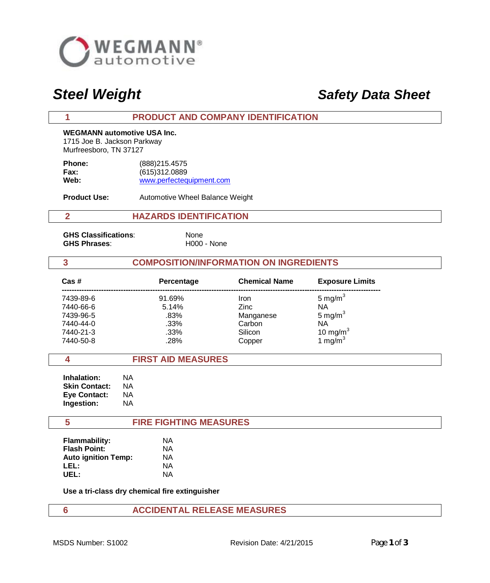

# *Steel Weight Safety Data Sheet*

#### **1 PRODUCT AND COMPANY IDENTIFICATION**

**WEGMANN automotive USA Inc.** 1715 Joe B. Jackson Parkway Murfreesboro, TN 37127

| <b>Phone:</b> | (888) 215.4575           |
|---------------|--------------------------|
| Fax:          | (615)312.0889            |
| Web:          | www.perfectequipment.com |

**Product Use:** Automotive Wheel Balance Weight

## **2 HAZARDS IDENTIFICATION**

**GHS Classifications**: None GHS Phrases: H000 - None

#### **3 COMPOSITION/INFORMATION ON INGREDIENTS**

| Cas #     | Percentage | <b>Chemical Name</b> | <b>Exposure Limits</b> |  |
|-----------|------------|----------------------|------------------------|--|
| 7439-89-6 | 91.69%     | Iron                 | 5 mg/m $3$             |  |
| 7440-66-6 | 5.14%      | <b>Zinc</b>          | NA                     |  |
| 7439-96-5 | .83%       | Manganese            | 5 mg/m $3$             |  |
| 7440-44-0 | .33%       | Carbon               | NA                     |  |
| 7440-21-3 | .33%       | Silicon              | 10 mg/ $m3$            |  |
| 7440-50-8 | .28%       | Copper               | 1 mg/m $3$             |  |

### **4 FIRST AID MEASURES**

 **Inhalation:** NA **Skin Contact: NA Eye Contact:** NA  **Ingestion:** NA

#### **5 FIRE FIGHTING MEASURES**

| <b>Flammability:</b>       | ΝA |
|----------------------------|----|
| <b>Flash Point:</b>        | ΝA |
| <b>Auto ignition Temp:</b> | ΝA |
| LEL:                       | ΝA |
| UEL:                       | ΝA |

**Use a tri-class dry chemical fire extinguisher**

# **6 ACCIDENTAL RELEASE MEASURES**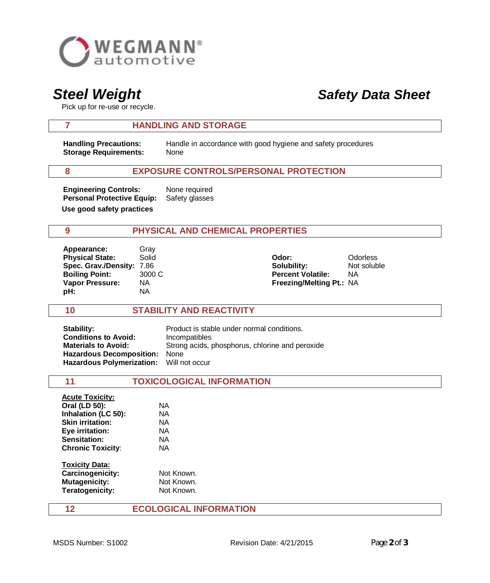

# *Steel Weight Safety Data Sheet*

Pick up for re-use or recycle.

### **7 HANDLING AND STORAGE**

**Storage Requirements:** None

 **Handling Precautions:** Handle in accordance with good hygiene and safety procedures

## **8 EXPOSURE CONTROLS/PERSONAL PROTECTION**

**Engineering Controls:** None required  **Personal Protective Equip:** Safety glasses **Use good safety practices**

# **9 PHYSICAL AND CHEMICAL PROPERTIES**

| Appearance:               | Grav   |                                 |                 |
|---------------------------|--------|---------------------------------|-----------------|
| <b>Physical State:</b>    | Solid  | Odor:                           | <b>Odorless</b> |
| Spec. Grav./Density: 7.86 |        | Solubility:                     | Not soluble     |
| <b>Boiling Point:</b>     | 3000 C | <b>Percent Volatile:</b>        | ΝA              |
| <b>Vapor Pressure:</b>    | ΝA     | <b>Freezing/Melting Pt.: NA</b> |                 |
| pH:                       | NA     |                                 |                 |

### **10 STABILITY AND REACTIVITY**

**Stability:** Product is stable under normal conditions. **Conditions to Avoid:** Incompatibles **Materials to Avoid:** Strong acids, phosphorus, chlorine and peroxide  **Hazardous Decomposition:** None  **Hazardous Polymerization:** Will not occur

| 11                       | <b>TOXICOLOGICAL INFORMATION</b> |  |  |
|--------------------------|----------------------------------|--|--|
| <b>Acute Toxicity:</b>   |                                  |  |  |
| Oral (LD 50):            | ΝA                               |  |  |
| Inhalation (LC 50):      | NA                               |  |  |
| <b>Skin irritation:</b>  | NA.                              |  |  |
| Eye irritation:          | NA                               |  |  |
| Sensitation:             | NA.                              |  |  |
| <b>Chronic Toxicity:</b> | NA.                              |  |  |
| <b>Toxicity Data:</b>    |                                  |  |  |
| Carcinogenicity:         | Not Known.                       |  |  |
| <b>Mutagenicity:</b>     | Not Known.                       |  |  |
| Teratogenicity:          | Not Known.                       |  |  |

## **12 ECOLOGICAL INFORMATION**